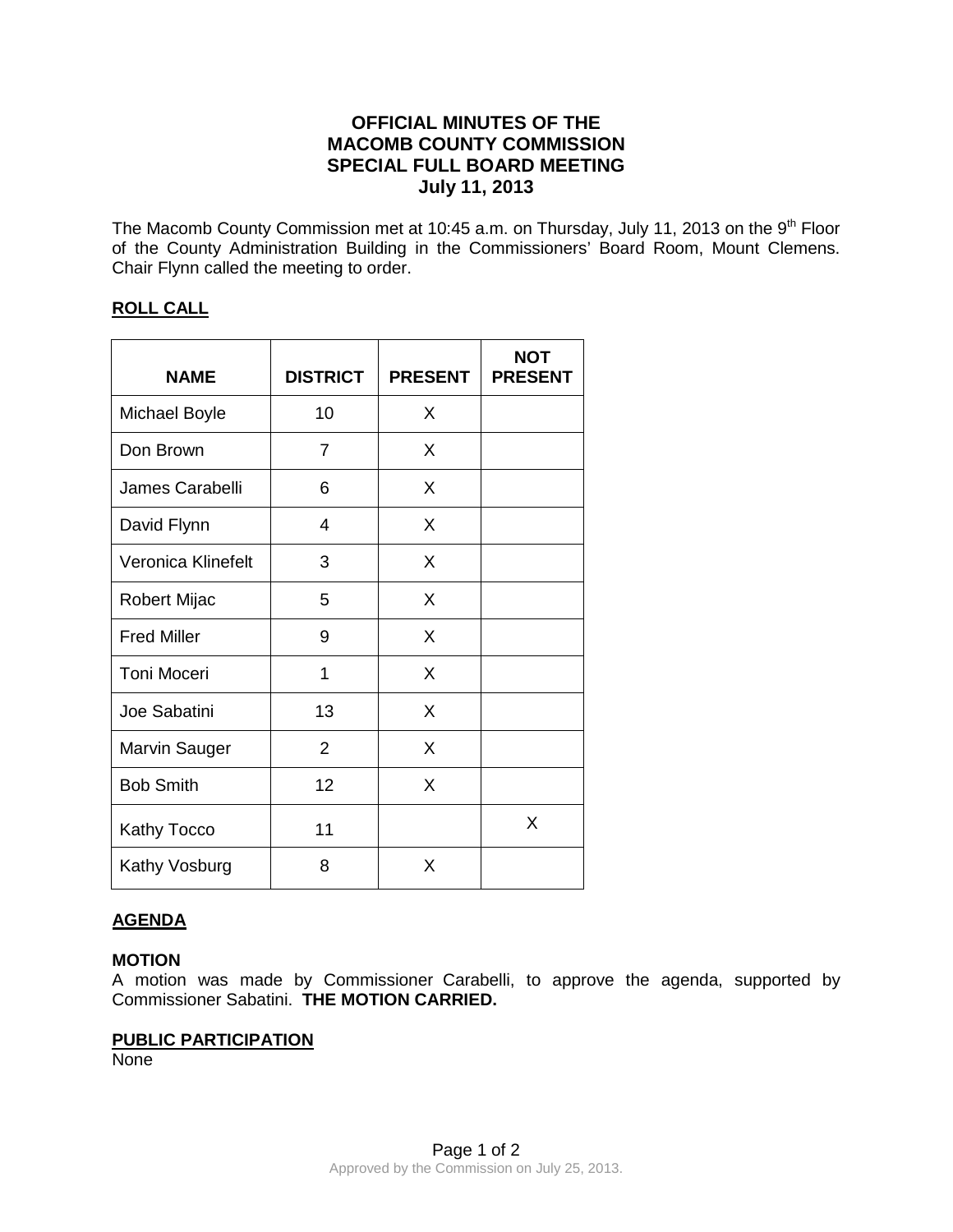# **OFFICIAL MINUTES OF THE MACOMB COUNTY COMMISSION SPECIAL FULL BOARD MEETING July 11, 2013**

The Macomb County Commission met at 10:45 a.m. on Thursday, July 11, 2013 on the 9<sup>th</sup> Floor of the County Administration Building in the Commissioners' Board Room, Mount Clemens. Chair Flynn called the meeting to order.

# **ROLL CALL**

| <b>NAME</b>          | <b>DISTRICT</b> | <b>PRESENT</b> | <b>NOT</b><br><b>PRESENT</b> |
|----------------------|-----------------|----------------|------------------------------|
| <b>Michael Boyle</b> | 10              | X              |                              |
| Don Brown            | 7               | X              |                              |
| James Carabelli      | 6               | X              |                              |
| David Flynn          | $\overline{4}$  | X              |                              |
| Veronica Klinefelt   | 3               | X              |                              |
| Robert Mijac         | 5               | X              |                              |
| <b>Fred Miller</b>   | 9               | X              |                              |
| <b>Toni Moceri</b>   | 1               | X              |                              |
| Joe Sabatini         | 13              | X              |                              |
| Marvin Sauger        | $\overline{2}$  | X              |                              |
| <b>Bob Smith</b>     | 12              | X              |                              |
| <b>Kathy Tocco</b>   | 11              |                | X                            |
| Kathy Vosburg        | 8               | X              |                              |

# **AGENDA**

# **MOTION**

A motion was made by Commissioner Carabelli, to approve the agenda, supported by Commissioner Sabatini. **THE MOTION CARRIED.** 

#### **PUBLIC PARTICIPATION**

None